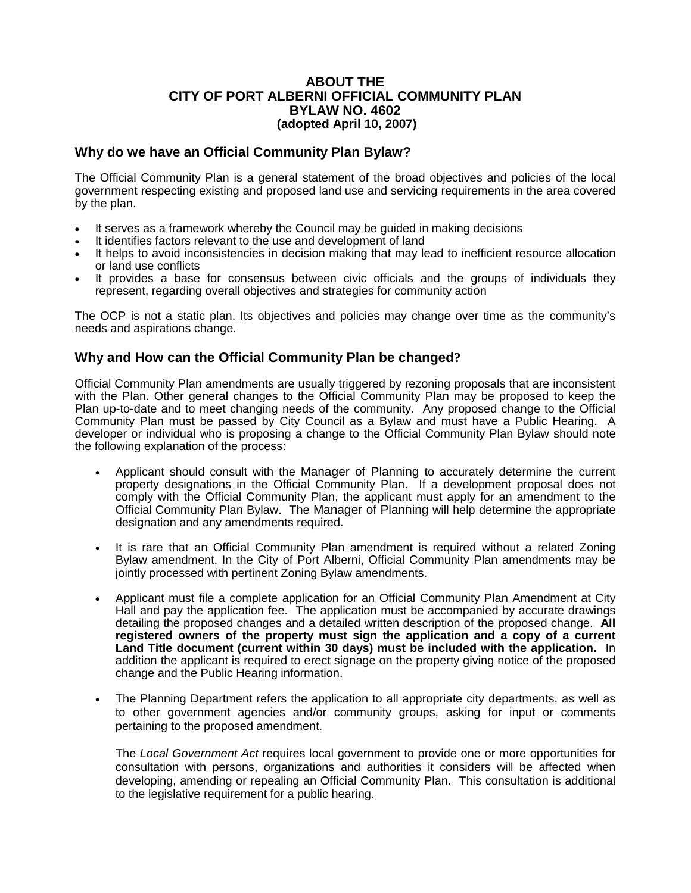## **ABOUT THE CITY OF PORT ALBERNI OFFICIAL COMMUNITY PLAN BYLAW NO. 4602 (adopted April 10, 2007)**

## **Why do we have an Official Community Plan Bylaw?**

The Official Community Plan is a general statement of the broad objectives and policies of the local government respecting existing and proposed land use and servicing requirements in the area covered by the plan.

- It serves as a framework whereby the Council may be guided in making decisions
- It identifies factors relevant to the use and development of land
- It helps to avoid inconsistencies in decision making that may lead to inefficient resource allocation or land use conflicts
- It provides a base for consensus between civic officials and the groups of individuals they represent, regarding overall objectives and strategies for community action

The OCP is not a static plan. Its objectives and policies may change over time as the community's needs and aspirations change.

## **Why and How can the Official Community Plan be changed?**

Official Community Plan amendments are usually triggered by rezoning proposals that are inconsistent with the Plan. Other general changes to the Official Community Plan may be proposed to keep the Plan up-to-date and to meet changing needs of the community. Any proposed change to the Official Community Plan must be passed by City Council as a Bylaw and must have a Public Hearing. A developer or individual who is proposing a change to the Official Community Plan Bylaw should note the following explanation of the process:

- Applicant should consult with the Manager of Planning to accurately determine the current property designations in the Official Community Plan. If a development proposal does not comply with the Official Community Plan, the applicant must apply for an amendment to the Official Community Plan Bylaw. The Manager of Planning will help determine the appropriate designation and any amendments required.
- It is rare that an Official Community Plan amendment is required without a related Zoning Bylaw amendment. In the City of Port Alberni, Official Community Plan amendments may be jointly processed with pertinent Zoning Bylaw amendments.
- Applicant must file a complete application for an Official Community Plan Amendment at City Hall and pay the application fee. The application must be accompanied by accurate drawings detailing the proposed changes and a detailed written description of the proposed change. **All registered owners of the property must sign the application and a copy of a current Land Title document (current within 30 days) must be included with the application.** In addition the applicant is required to erect signage on the property giving notice of the proposed change and the Public Hearing information.
- The Planning Department refers the application to all appropriate city departments, as well as to other government agencies and/or community groups, asking for input or comments pertaining to the proposed amendment.

The *Local Government Act* requires local government to provide one or more opportunities for consultation with persons, organizations and authorities it considers will be affected when developing, amending or repealing an Official Community Plan. This consultation is additional to the legislative requirement for a public hearing.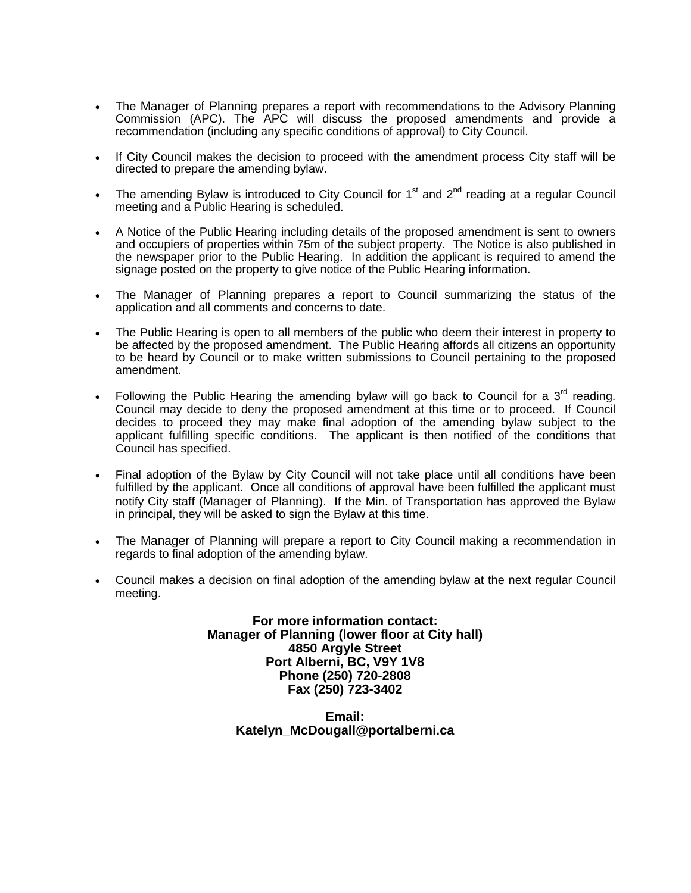- The Manager of Planning prepares a report with recommendations to the Advisory Planning Commission (APC). The APC will discuss the proposed amendments and provide a recommendation (including any specific conditions of approval) to City Council.
- If City Council makes the decision to proceed with the amendment process City staff will be directed to prepare the amending bylaw.
- The amending Bylaw is introduced to City Council for  $1<sup>st</sup>$  and  $2<sup>nd</sup>$  reading at a regular Council meeting and a Public Hearing is scheduled.
- A Notice of the Public Hearing including details of the proposed amendment is sent to owners and occupiers of properties within 75m of the subject property. The Notice is also published in the newspaper prior to the Public Hearing. In addition the applicant is required to amend the signage posted on the property to give notice of the Public Hearing information.
- The Manager of Planning prepares a report to Council summarizing the status of the application and all comments and concerns to date.
- The Public Hearing is open to all members of the public who deem their interest in property to be affected by the proposed amendment. The Public Hearing affords all citizens an opportunity to be heard by Council or to make written submissions to Council pertaining to the proposed amendment.
- Following the Public Hearing the amending bylaw will go back to Council for a  $3<sup>rd</sup>$  reading. Council may decide to deny the proposed amendment at this time or to proceed. If Council decides to proceed they may make final adoption of the amending bylaw subject to the applicant fulfilling specific conditions. The applicant is then notified of the conditions that Council has specified.
- Final adoption of the Bylaw by City Council will not take place until all conditions have been fulfilled by the applicant. Once all conditions of approval have been fulfilled the applicant must notify City staff (Manager of Planning). If the Min. of Transportation has approved the Bylaw in principal, they will be asked to sign the Bylaw at this time.
- The Manager of Planning will prepare a report to City Council making a recommendation in regards to final adoption of the amending bylaw.
- Council makes a decision on final adoption of the amending bylaw at the next regular Council meeting.

**For more information contact: Manager of Planning (lower floor at City hall) 4850 Argyle Street Port Alberni, BC, V9Y 1V8 Phone (250) 720-2808 Fax (250) 723-3402**

> **Email: Katelyn\_McDougall@portalberni.ca**